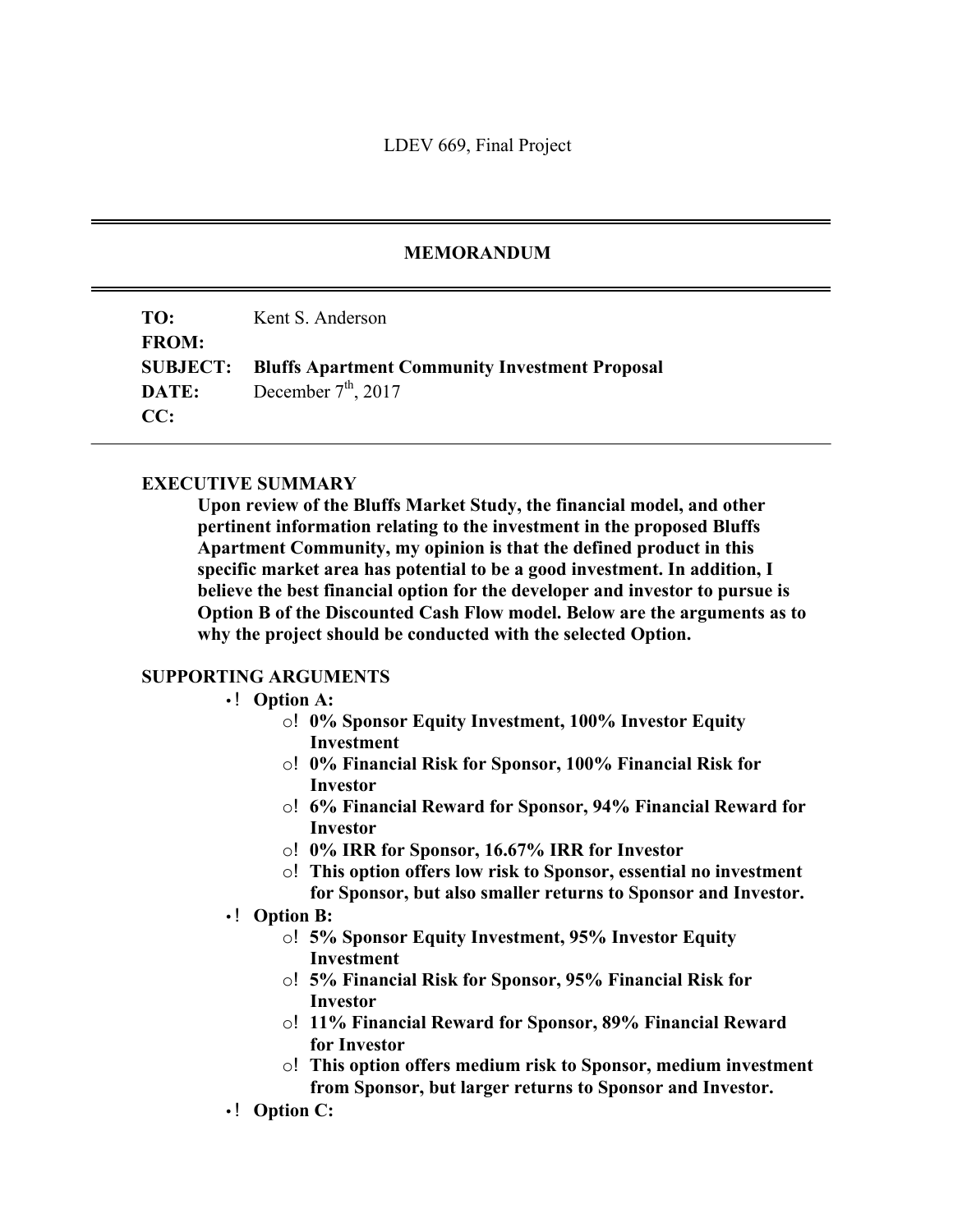# **MEMORANDUM**

| TO:          | Kent S. Anderson                                               |
|--------------|----------------------------------------------------------------|
| <b>FROM:</b> |                                                                |
|              | <b>SUBJECT:</b> Bluffs Apartment Community Investment Proposal |
| DATE:        | December $7th$ , 2017                                          |
| CC:          |                                                                |

## **EXECUTIVE SUMMARY**

**Upon review of the Bluffs Market Study, the financial model, and other pertinent information relating to the investment in the proposed Bluffs Apartment Community, my opinion is that the defined product in this specific market area has potential to be a good investment. In addition, I believe the best financial option for the developer and investor to pursue is Option B of the Discounted Cash Flow model. Below are the arguments as to why the project should be conducted with the selected Option.**

## **SUPPORTING ARGUMENTS**

### • ! **Option A:**

- o! **0% Sponsor Equity Investment, 100% Investor Equity Investment**
- o! **0% Financial Risk for Sponsor, 100% Financial Risk for Investor**
- o! **6% Financial Reward for Sponsor, 94% Financial Reward for Investor**
- o! **0% IRR for Sponsor, 16.67% IRR for Investor**
- o! **This option offers low risk to Sponsor, essential no investment for Sponsor, but also smaller returns to Sponsor and Investor.**

#### • ! **Option B:**

- o! **5% Sponsor Equity Investment, 95% Investor Equity Investment**
- o! **5% Financial Risk for Sponsor, 95% Financial Risk for Investor**
- o! **11% Financial Reward for Sponsor, 89% Financial Reward for Investor**
- o! **This option offers medium risk to Sponsor, medium investment from Sponsor, but larger returns to Sponsor and Investor.**
- ! **Option C:**